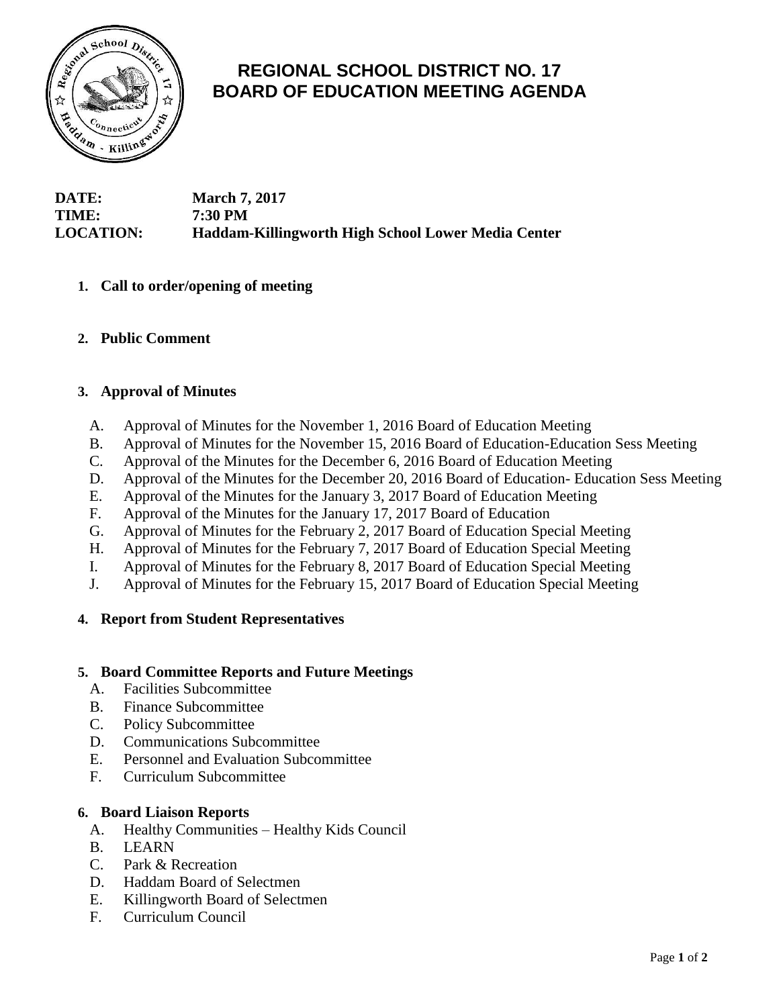

# **REGIONAL SCHOOL DISTRICT NO. 17 BOARD OF EDUCATION MEETING AGENDA**

## **DATE: March 7, 2017 TIME: 7:30 PM LOCATION: Haddam-Killingworth High School Lower Media Center**

## **1. Call to order/opening of meeting**

**2. Public Comment**

## **3. Approval of Minutes**

- A. Approval of Minutes for the November 1, 2016 Board of Education Meeting
- B. Approval of Minutes for the November 15, 2016 Board of Education-Education Sess Meeting
- C. Approval of the Minutes for the December 6, 2016 Board of Education Meeting
- D. Approval of the Minutes for the December 20, 2016 Board of Education- Education Sess Meeting
- E. Approval of the Minutes for the January 3, 2017 Board of Education Meeting
- F. Approval of the Minutes for the January 17, 2017 Board of Education
- G. Approval of Minutes for the February 2, 2017 Board of Education Special Meeting
- H. Approval of Minutes for the February 7, 2017 Board of Education Special Meeting
- I. Approval of Minutes for the February 8, 2017 Board of Education Special Meeting
- J. Approval of Minutes for the February 15, 2017 Board of Education Special Meeting

## **4. Report from Student Representatives**

## **5. Board Committee Reports and Future Meetings**

- A. Facilities Subcommittee
- B. Finance Subcommittee
- C. Policy Subcommittee
- D. Communications Subcommittee
- E. Personnel and Evaluation Subcommittee
- F. Curriculum Subcommittee

## **6. Board Liaison Reports**

- A. Healthy Communities Healthy Kids Council
- B. LEARN
- C. Park & Recreation
- D. Haddam Board of Selectmen
- E. Killingworth Board of Selectmen
- F. Curriculum Council